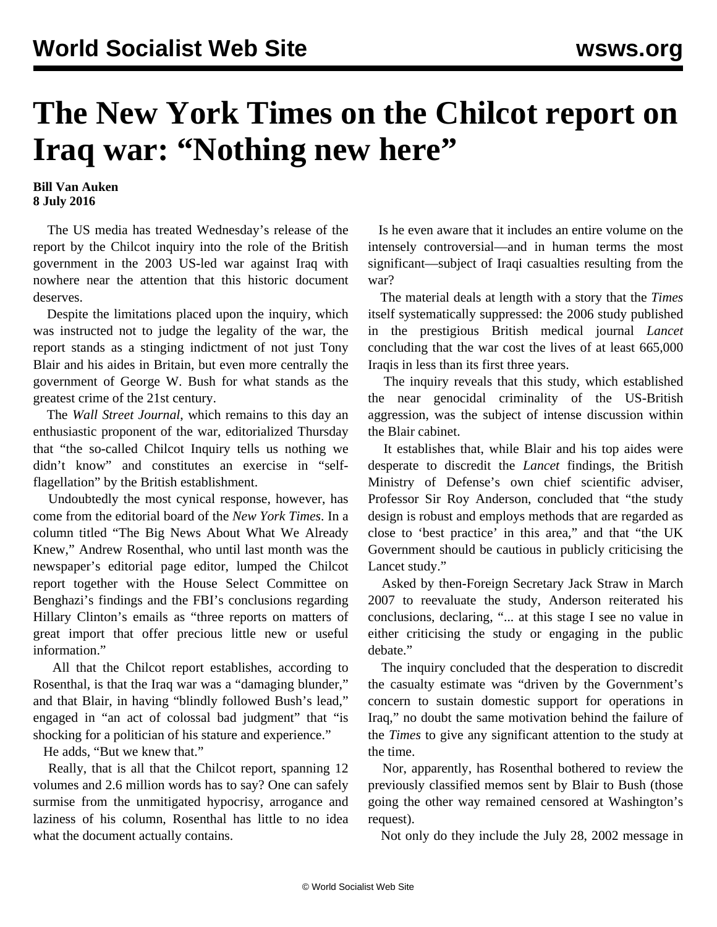## **The New York Times on the Chilcot report on Iraq war: "Nothing new here"**

## **Bill Van Auken 8 July 2016**

 The US media has treated Wednesday's release of the report by the Chilcot inquiry into the role of the British government in the 2003 US-led war against Iraq with nowhere near the attention that this historic document deserves.

 Despite the limitations placed upon the inquiry, which was instructed not to judge the legality of the war, the report stands as a stinging indictment of not just Tony Blair and his aides in Britain, but even more centrally the government of George W. Bush for what stands as the greatest crime of the 21st century.

 The *Wall Street Journal*, which remains to this day an enthusiastic proponent of the war, editorialized Thursday that "the so-called Chilcot Inquiry tells us nothing we didn't know" and constitutes an exercise in "selfflagellation" by the British establishment.

 Undoubtedly the most cynical response, however, has come from the editorial board of the *New York Times*. In a column titled "The Big News About What We Already Knew," Andrew Rosenthal, who until last month was the newspaper's editorial page editor, lumped the Chilcot report together with the House Select Committee on Benghazi's findings and the FBI's conclusions regarding Hillary Clinton's emails as "three reports on matters of great import that offer precious little new or useful information."

 All that the Chilcot report establishes, according to Rosenthal, is that the Iraq war was a "damaging blunder," and that Blair, in having "blindly followed Bush's lead," engaged in "an act of colossal bad judgment" that "is shocking for a politician of his stature and experience."

He adds, "But we knew that."

 Really, that is all that the Chilcot report, spanning 12 volumes and 2.6 million words has to say? One can safely surmise from the unmitigated hypocrisy, arrogance and laziness of his column, Rosenthal has little to no idea what the document actually contains.

 Is he even aware that it includes an entire volume on the intensely controversial—and in human terms the most significant—subject of Iraqi casualties resulting from the war?

 The material deals at length with a story that the *Times* itself systematically suppressed: the 2006 study published in the prestigious British medical journal *Lancet* concluding that the war cost the lives of at least 665,000 Iraqis in less than its first three years.

 The inquiry reveals that this study, which established the near genocidal criminality of the US-British aggression, was the subject of intense discussion within the Blair cabinet.

 It establishes that, while Blair and his top aides were desperate to discredit the *Lancet* findings, the British Ministry of Defense's own chief scientific adviser, Professor Sir Roy Anderson, concluded that "the study design is robust and employs methods that are regarded as close to 'best practice' in this area," and that "the UK Government should be cautious in publicly criticising the Lancet study."

 Asked by then-Foreign Secretary Jack Straw in March 2007 to reevaluate the study, Anderson reiterated his conclusions, declaring, "... at this stage I see no value in either criticising the study or engaging in the public debate."

 The inquiry concluded that the desperation to discredit the casualty estimate was "driven by the Government's concern to sustain domestic support for operations in Iraq," no doubt the same motivation behind the failure of the *Times* to give any significant attention to the study at the time.

 Nor, apparently, has Rosenthal bothered to review the previously classified memos sent by Blair to Bush (those going the other way remained censored at Washington's request).

Not only do they include the July 28, 2002 message in